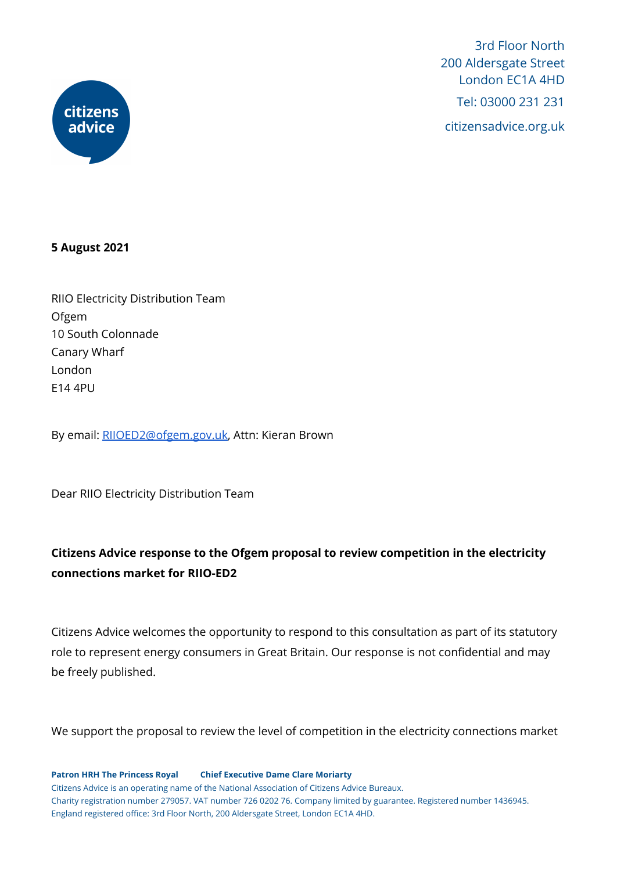

3rd Floor North 200 Aldersgate Street London EC1A 4HD Tel: 03000 231 231 citizensadvice.org.uk

#### **5 August 2021**

RIIO Electricity Distribution Team Ofgem 10 South Colonnade Canary Wharf London E14 4PU

By email: [RIIOED2@ofgem.gov.uk](mailto:RIIO-ED2@ofgem.gov.uk), Attn: Kieran Brown

Dear RIIO Electricity Distribution Team

# **Citizens Advice response to the Ofgem proposal to review competition in the electricity connections market for RIIO-ED2**

Citizens Advice welcomes the opportunity to respond to this consultation as part of its statutory role to represent energy consumers in Great Britain. Our response is not confidential and may be freely published.

We support the proposal to review the level of competition in the electricity connections market

**Patron HRH The Princess Royal Chief Executive Dame Clare Moriarty** Citizens Advice is an operating name of the National Association of Citizens Advice Bureaux. Charity registration number 279057. VAT number 726 0202 76. Company limited by guarantee. Registered number 1436945. England registered office: 3rd Floor North, 200 Aldersgate Street, London EC1A 4HD.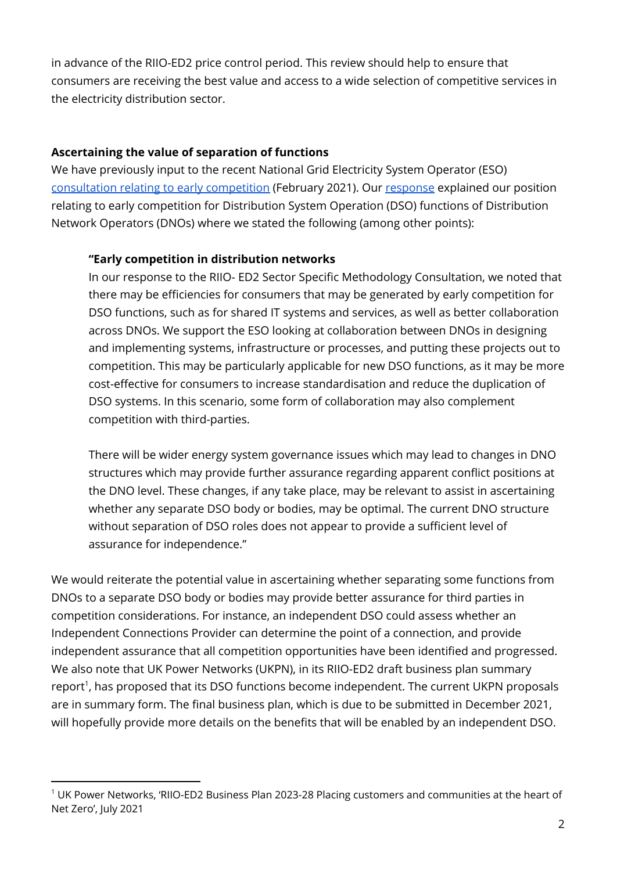in advance of the RIIO-ED2 price control period. This review should help to ensure that consumers are receiving the best value and access to a wide selection of competitive services in the electricity distribution sector.

### **Ascertaining the value of separation of functions**

We have previously input to the recent National Grid Electricity System Operator (ESO) [consultation](https://www.nationalgrideso.com/future-energy/projects/early-competition-plan) relating to early competition (February 2021). Our [response](https://www.citizensadvice.org.uk/Global/CitizensAdvice/Energy/Energy%20Consultation%20responses/CA%20Response%20to%20ESO%20Early%20Competition%20Phase%203%20Consultation.pdf) explained our position relating to early competition for Distribution System Operation (DSO) functions of Distribution Network Operators (DNOs) where we stated the following (among other points):

### **"Early competition in distribution networks**

In our response to the RIIO- ED2 Sector Specific Methodology Consultation, we noted that there may be efficiencies for consumers that may be generated by early competition for DSO functions, such as for shared IT systems and services, as well as better collaboration across DNOs. We support the ESO looking at collaboration between DNOs in designing and implementing systems, infrastructure or processes, and putting these projects out to competition. This may be particularly applicable for new DSO functions, as it may be more cost-effective for consumers to increase standardisation and reduce the duplication of DSO systems. In this scenario, some form of collaboration may also complement competition with third-parties.

There will be wider energy system governance issues which may lead to changes in DNO structures which may provide further assurance regarding apparent conflict positions at the DNO level. These changes, if any take place, may be relevant to assist in ascertaining whether any separate DSO body or bodies, may be optimal. The current DNO structure without separation of DSO roles does not appear to provide a sufficient level of assurance for independence."

We would reiterate the potential value in ascertaining whether separating some functions from DNOs to a separate DSO body or bodies may provide better assurance for third parties in competition considerations. For instance, an independent DSO could assess whether an Independent Connections Provider can determine the point of a connection, and provide independent assurance that all competition opportunities have been identified and progressed. We also note that UK Power Networks (UKPN), in its RIIO-ED2 draft business plan summary report<sup>1</sup>, has proposed that its DSO functions become independent. The current UKPN proposals are in summary form. The final business plan, which is due to be submitted in December 2021, will hopefully provide more details on the benefits that will be enabled by an independent DSO.

<sup>&</sup>lt;sup>1</sup> UK Power Networks, 'RIIO-ED2 Business Plan 2023-28 Placing customers and communities at the heart of Net Zero', July 2021